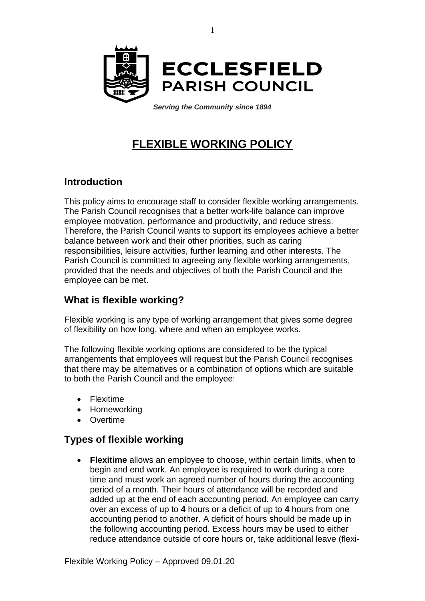

*Serving the Community since 1894*

# **FLEXIBLE WORKING POLICY**

## **Introduction**

This policy aims to encourage staff to consider flexible working arrangements. The Parish Council recognises that a better work-life balance can improve employee motivation, performance and productivity, and reduce stress. Therefore, the Parish Council wants to support its employees achieve a better balance between work and their other priorities, such as caring responsibilities, leisure activities, further learning and other interests. The Parish Council is committed to agreeing any flexible working arrangements, provided that the needs and objectives of both the Parish Council and the employee can be met.

## **What is flexible working?**

Flexible working is any type of working arrangement that gives some degree of flexibility on how long, where and when an employee works.

The following flexible working options are considered to be the typical arrangements that employees will request but the Parish Council recognises that there may be alternatives or a combination of options which are suitable to both the Parish Council and the employee:

- Flexitime
- Homeworking
- Overtime

### **Types of flexible working**

**Flexitime** allows an employee to choose, within certain limits, when to begin and end work. An employee is required to work during a core time and must work an agreed number of hours during the accounting period of a month. Their hours of attendance will be recorded and added up at the end of each accounting period. An employee can carry over an excess of up to **4** hours or a deficit of up to **4** hours from one accounting period to another. A deficit of hours should be made up in the following accounting period. Excess hours may be used to either reduce attendance outside of core hours or, take additional leave (flexi-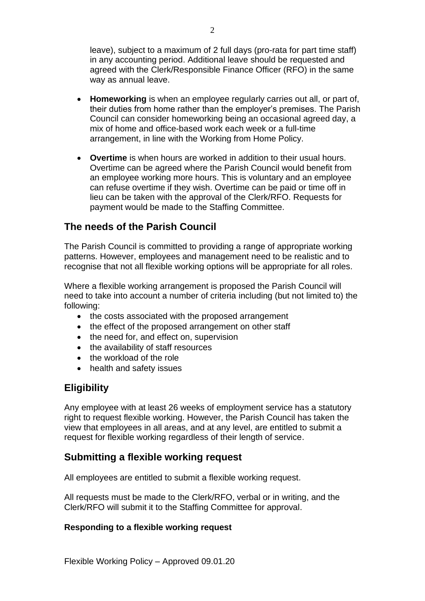leave), subject to a maximum of 2 full days (pro-rata for part time staff) in any accounting period. Additional leave should be requested and agreed with the Clerk/Responsible Finance Officer (RFO) in the same way as annual leave.

- **Homeworking** is when an employee regularly carries out all, or part of, their duties from home rather than the employer's premises. The Parish Council can consider homeworking being an occasional agreed day, a mix of home and office-based work each week or a full-time arrangement, in line with the Working from Home Policy.
- **Overtime** is when hours are worked in addition to their usual hours. Overtime can be agreed where the Parish Council would benefit from an employee working more hours. This is voluntary and an employee can refuse overtime if they wish. Overtime can be paid or time off in lieu can be taken with the approval of the Clerk/RFO. Requests for payment would be made to the Staffing Committee.

### **The needs of the Parish Council**

The Parish Council is committed to providing a range of appropriate working patterns. However, employees and management need to be realistic and to recognise that not all flexible working options will be appropriate for all roles.

Where a flexible working arrangement is proposed the Parish Council will need to take into account a number of criteria including (but not limited to) the following:

- the costs associated with the proposed arrangement
- the effect of the proposed arrangement on other staff
- the need for, and effect on, supervision
- the availability of staff resources
- the workload of the role
- health and safety issues

## **Eligibility**

Any employee with at least 26 weeks of employment service has a statutory right to request flexible working. However, the Parish Council has taken the view that employees in all areas, and at any level, are entitled to submit a request for flexible working regardless of their length of service.

### **Submitting a flexible working request**

All employees are entitled to submit a flexible working request.

All requests must be made to the Clerk/RFO, verbal or in writing, and the Clerk/RFO will submit it to the Staffing Committee for approval.

#### **Responding to a flexible working request**